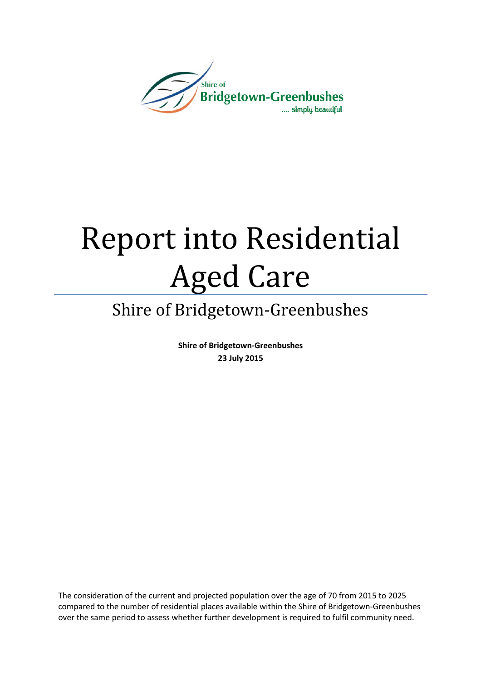

# Report into Residential Aged Care

# Shire of Bridgetown-Greenbushes

Shire of Bridgetown-Greenbushes 23 July 2015

The consideration of the current and projected population over the age of 70 from 2015 to 2025 compared to the number of residential places available within the Shire of Bridgetown-Greenbushes over the same period to assess whether further development is required to fulfil community need.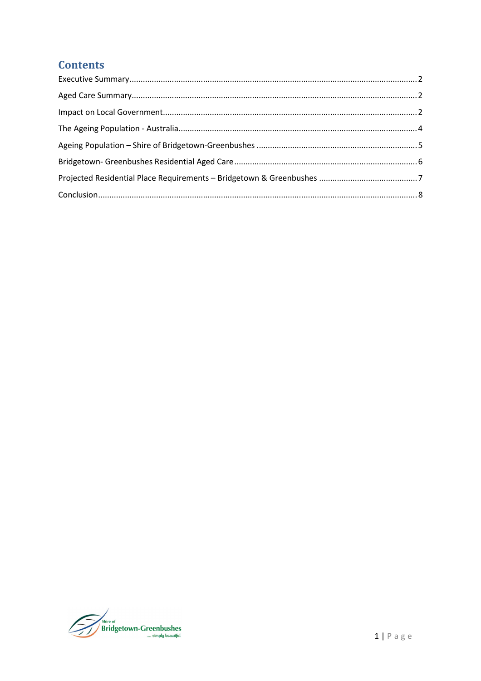## **Contents**

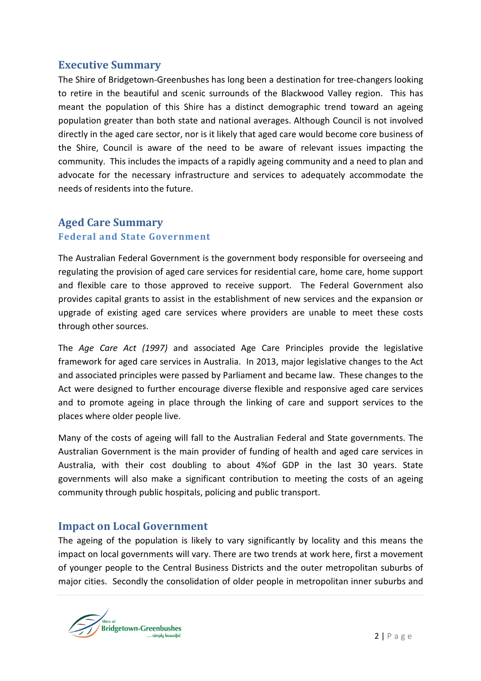#### Executive Summary

The Shire of Bridgetown-Greenbushes has long been a destination for tree-changers looking to retire in the beautiful and scenic surrounds of the Blackwood Valley region. This has meant the population of this Shire has a distinct demographic trend toward an ageing population greater than both state and national averages. Although Council is not involved directly in the aged care sector, nor is it likely that aged care would become core business of the Shire, Council is aware of the need to be aware of relevant issues impacting the community. This includes the impacts of a rapidly ageing community and a need to plan and advocate for the necessary infrastructure and services to adequately accommodate the needs of residents into the future.

# Aged Care Summary Federal and State Government

The Australian Federal Government is the government body responsible for overseeing and regulating the provision of aged care services for residential care, home care, home support and flexible care to those approved to receive support. The Federal Government also provides capital grants to assist in the establishment of new services and the expansion or upgrade of existing aged care services where providers are unable to meet these costs through other sources.

The Age Care Act (1997) and associated Age Care Principles provide the legislative framework for aged care services in Australia. In 2013, major legislative changes to the Act and associated principles were passed by Parliament and became law. These changes to the Act were designed to further encourage diverse flexible and responsive aged care services and to promote ageing in place through the linking of care and support services to the places where older people live.

Many of the costs of ageing will fall to the Australian Federal and State governments. The Australian Government is the main provider of funding of health and aged care services in Australia, with their cost doubling to about 4%of GDP in the last 30 years. State governments will also make a significant contribution to meeting the costs of an ageing community through public hospitals, policing and public transport.

#### Impact on Local Government

The ageing of the population is likely to vary significantly by locality and this means the impact on local governments will vary. There are two trends at work here, first a movement of younger people to the Central Business Districts and the outer metropolitan suburbs of major cities. Secondly the consolidation of older people in metropolitan inner suburbs and

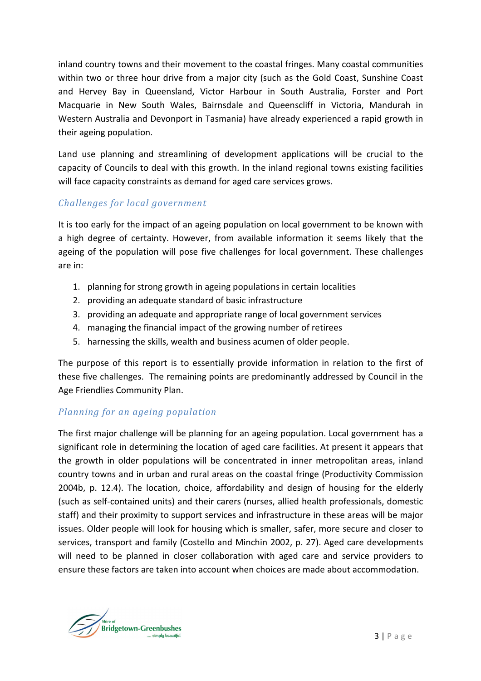inland country towns and their movement to the coastal fringes. Many coastal communities within two or three hour drive from a major city (such as the Gold Coast, Sunshine Coast and Hervey Bay in Queensland, Victor Harbour in South Australia, Forster and Port Macquarie in New South Wales, Bairnsdale and Queenscliff in Victoria, Mandurah in Western Australia and Devonport in Tasmania) have already experienced a rapid growth in their ageing population.

Land use planning and streamlining of development applications will be crucial to the capacity of Councils to deal with this growth. In the inland regional towns existing facilities will face capacity constraints as demand for aged care services grows.

#### Challenges for local government

It is too early for the impact of an ageing population on local government to be known with a high degree of certainty. However, from available information it seems likely that the ageing of the population will pose five challenges for local government. These challenges are in:

- 1. planning for strong growth in ageing populations in certain localities
- 2. providing an adequate standard of basic infrastructure
- 3. providing an adequate and appropriate range of local government services
- 4. managing the financial impact of the growing number of retirees
- 5. harnessing the skills, wealth and business acumen of older people.

The purpose of this report is to essentially provide information in relation to the first of these five challenges. The remaining points are predominantly addressed by Council in the Age Friendlies Community Plan.

#### Planning for an ageing population

The first major challenge will be planning for an ageing population. Local government has a significant role in determining the location of aged care facilities. At present it appears that the growth in older populations will be concentrated in inner metropolitan areas, inland country towns and in urban and rural areas on the coastal fringe (Productivity Commission 2004b, p. 12.4). The location, choice, affordability and design of housing for the elderly (such as self-contained units) and their carers (nurses, allied health professionals, domestic staff) and their proximity to support services and infrastructure in these areas will be major issues. Older people will look for housing which is smaller, safer, more secure and closer to services, transport and family (Costello and Minchin 2002, p. 27). Aged care developments will need to be planned in closer collaboration with aged care and service providers to ensure these factors are taken into account when choices are made about accommodation.

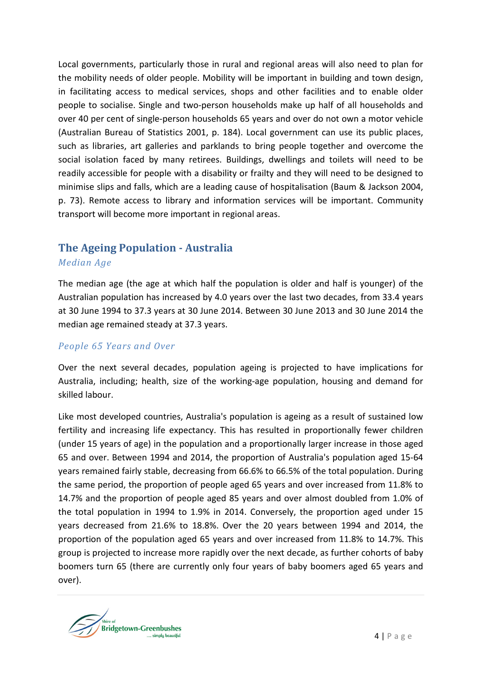Local governments, particularly those in rural and regional areas will also need to plan for the mobility needs of older people. Mobility will be important in building and town design, in facilitating access to medical services, shops and other facilities and to enable older people to socialise. Single and two-person households make up half of all households and over 40 per cent of single-person households 65 years and over do not own a motor vehicle (Australian Bureau of Statistics 2001, p. 184). Local government can use its public places, such as libraries, art galleries and parklands to bring people together and overcome the social isolation faced by many retirees. Buildings, dwellings and toilets will need to be readily accessible for people with a disability or frailty and they will need to be designed to minimise slips and falls, which are a leading cause of hospitalisation (Baum & Jackson 2004, p. 73). Remote access to library and information services will be important. Community transport will become more important in regional areas.

# The Ageing Population - Australia

#### Median Age

The median age (the age at which half the population is older and half is younger) of the Australian population has increased by 4.0 years over the last two decades, from 33.4 years at 30 June 1994 to 37.3 years at 30 June 2014. Between 30 June 2013 and 30 June 2014 the median age remained steady at 37.3 years.

#### People 65 Years and Over

Over the next several decades, population ageing is projected to have implications for Australia, including; health, size of the working-age population, housing and demand for skilled labour.

Like most developed countries, Australia's population is ageing as a result of sustained low fertility and increasing life expectancy. This has resulted in proportionally fewer children (under 15 years of age) in the population and a proportionally larger increase in those aged 65 and over. Between 1994 and 2014, the proportion of Australia's population aged 15-64 years remained fairly stable, decreasing from 66.6% to 66.5% of the total population. During the same period, the proportion of people aged 65 years and over increased from 11.8% to 14.7% and the proportion of people aged 85 years and over almost doubled from 1.0% of the total population in 1994 to 1.9% in 2014. Conversely, the proportion aged under 15 years decreased from 21.6% to 18.8%. Over the 20 years between 1994 and 2014, the proportion of the population aged 65 years and over increased from 11.8% to 14.7%. This group is projected to increase more rapidly over the next decade, as further cohorts of baby boomers turn 65 (there are currently only four years of baby boomers aged 65 years and over).

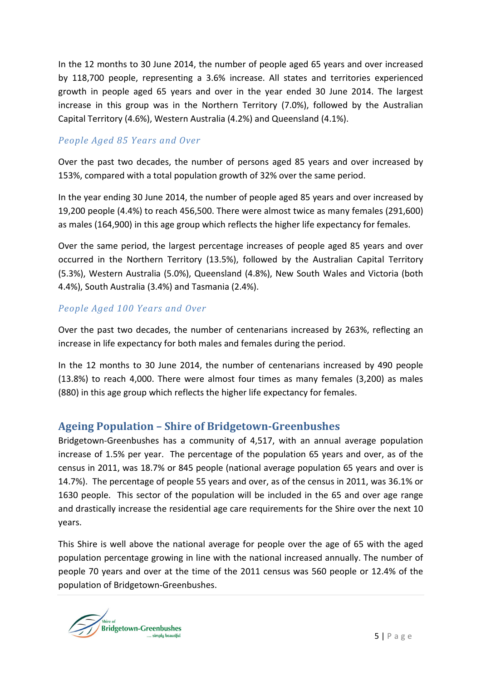In the 12 months to 30 June 2014, the number of people aged 65 years and over increased by 118,700 people, representing a 3.6% increase. All states and territories experienced growth in people aged 65 years and over in the year ended 30 June 2014. The largest increase in this group was in the Northern Territory (7.0%), followed by the Australian Capital Territory (4.6%), Western Australia (4.2%) and Queensland (4.1%).

#### People Aged 85 Years and Over

Over the past two decades, the number of persons aged 85 years and over increased by 153%, compared with a total population growth of 32% over the same period.

In the year ending 30 June 2014, the number of people aged 85 years and over increased by 19,200 people (4.4%) to reach 456,500. There were almost twice as many females (291,600) as males (164,900) in this age group which reflects the higher life expectancy for females.

Over the same period, the largest percentage increases of people aged 85 years and over occurred in the Northern Territory (13.5%), followed by the Australian Capital Territory (5.3%), Western Australia (5.0%), Queensland (4.8%), New South Wales and Victoria (both 4.4%), South Australia (3.4%) and Tasmania (2.4%).

#### People Aged 100 Years and Over

Over the past two decades, the number of centenarians increased by 263%, reflecting an increase in life expectancy for both males and females during the period.

In the 12 months to 30 June 2014, the number of centenarians increased by 490 people (13.8%) to reach 4,000. There were almost four times as many females (3,200) as males (880) in this age group which reflects the higher life expectancy for females.

#### Ageing Population – Shire of Bridgetown-Greenbushes

Bridgetown-Greenbushes has a community of 4,517, with an annual average population increase of 1.5% per year. The percentage of the population 65 years and over, as of the census in 2011, was 18.7% or 845 people (national average population 65 years and over is 14.7%). The percentage of people 55 years and over, as of the census in 2011, was 36.1% or 1630 people. This sector of the population will be included in the 65 and over age range and drastically increase the residential age care requirements for the Shire over the next 10 years.

This Shire is well above the national average for people over the age of 65 with the aged population percentage growing in line with the national increased annually. The number of people 70 years and over at the time of the 2011 census was 560 people or 12.4% of the population of Bridgetown-Greenbushes.

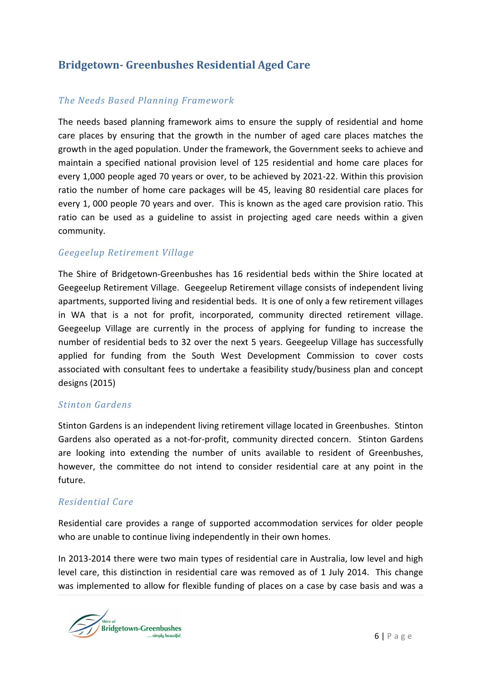## Bridgetown- Greenbushes Residential Aged Care

#### The Needs Based Planning Framework

The needs based planning framework aims to ensure the supply of residential and home care places by ensuring that the growth in the number of aged care places matches the growth in the aged population. Under the framework, the Government seeks to achieve and maintain a specified national provision level of 125 residential and home care places for every 1,000 people aged 70 years or over, to be achieved by 2021-22. Within this provision ratio the number of home care packages will be 45, leaving 80 residential care places for every 1, 000 people 70 years and over. This is known as the aged care provision ratio. This ratio can be used as a guideline to assist in projecting aged care needs within a given community.

#### Geegeelup Retirement Village

The Shire of Bridgetown-Greenbushes has 16 residential beds within the Shire located at Geegeelup Retirement Village. Geegeelup Retirement village consists of independent living apartments, supported living and residential beds. It is one of only a few retirement villages in WA that is a not for profit, incorporated, community directed retirement village. Geegeelup Village are currently in the process of applying for funding to increase the number of residential beds to 32 over the next 5 years. Geegeelup Village has successfully applied for funding from the South West Development Commission to cover costs associated with consultant fees to undertake a feasibility study/business plan and concept designs (2015)

#### Stinton Gardens

Stinton Gardens is an independent living retirement village located in Greenbushes. Stinton Gardens also operated as a not-for-profit, community directed concern. Stinton Gardens are looking into extending the number of units available to resident of Greenbushes, however, the committee do not intend to consider residential care at any point in the future.

#### Residential Care

Residential care provides a range of supported accommodation services for older people who are unable to continue living independently in their own homes.

In 2013-2014 there were two main types of residential care in Australia, low level and high level care, this distinction in residential care was removed as of 1 July 2014. This change was implemented to allow for flexible funding of places on a case by case basis and was a

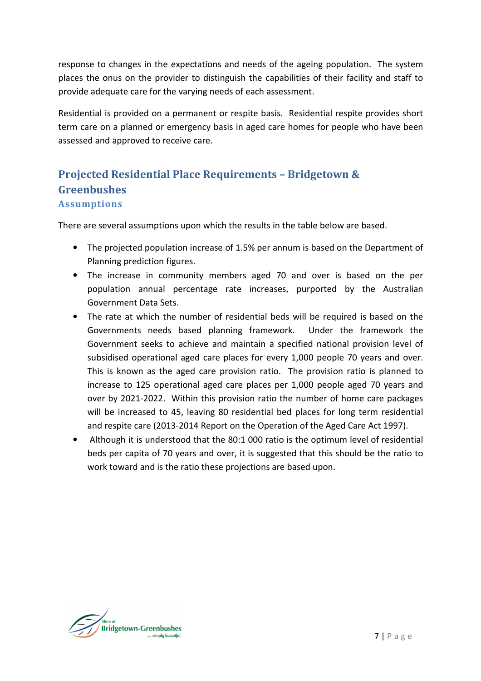response to changes in the expectations and needs of the ageing population. The system places the onus on the provider to distinguish the capabilities of their facility and staff to provide adequate care for the varying needs of each assessment.

Residential is provided on a permanent or respite basis. Residential respite provides short term care on a planned or emergency basis in aged care homes for people who have been assessed and approved to receive care.

### Projected Residential Place Requirements – Bridgetown & **Greenbushes** Assumptions

There are several assumptions upon which the results in the table below are based.

- The projected population increase of 1.5% per annum is based on the Department of Planning prediction figures.
- The increase in community members aged 70 and over is based on the per population annual percentage rate increases, purported by the Australian Government Data Sets.
- The rate at which the number of residential beds will be required is based on the Governments needs based planning framework. Under the framework the Government seeks to achieve and maintain a specified national provision level of subsidised operational aged care places for every 1,000 people 70 years and over. This is known as the aged care provision ratio. The provision ratio is planned to increase to 125 operational aged care places per 1,000 people aged 70 years and over by 2021-2022. Within this provision ratio the number of home care packages will be increased to 45, leaving 80 residential bed places for long term residential and respite care (2013-2014 Report on the Operation of the Aged Care Act 1997).
- Although it is understood that the 80:1 000 ratio is the optimum level of residential beds per capita of 70 years and over, it is suggested that this should be the ratio to work toward and is the ratio these projections are based upon.

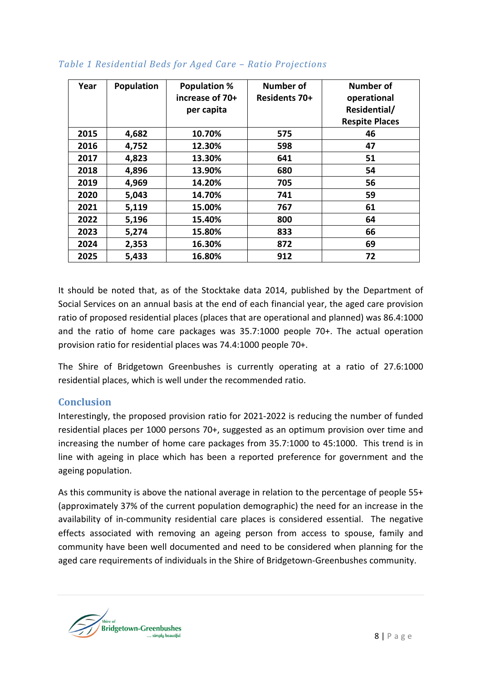| Year | Population | <b>Population %</b><br>increase of 70+<br>per capita | Number of<br>Residents 70+ | Number of<br>operational<br>Residential/<br><b>Respite Places</b> |
|------|------------|------------------------------------------------------|----------------------------|-------------------------------------------------------------------|
| 2015 | 4,682      | 10.70%                                               | 575                        | 46                                                                |
| 2016 | 4,752      | 12.30%                                               | 598                        | 47                                                                |
| 2017 | 4,823      | 13.30%                                               | 641                        | 51                                                                |
| 2018 | 4,896      | 13.90%                                               | 680                        | 54                                                                |
| 2019 | 4,969      | 14.20%                                               | 705                        | 56                                                                |
| 2020 | 5,043      | 14.70%                                               | 741                        | 59                                                                |
| 2021 | 5,119      | 15.00%                                               | 767                        | 61                                                                |
| 2022 | 5,196      | 15.40%                                               | 800                        | 64                                                                |
| 2023 | 5,274      | 15.80%                                               | 833                        | 66                                                                |
| 2024 | 2,353      | 16.30%                                               | 872                        | 69                                                                |
| 2025 | 5,433      | 16.80%                                               | 912                        | 72                                                                |

#### Table 1 Residential Beds for Aged Care – Ratio Projections

It should be noted that, as of the Stocktake data 2014, published by the Department of Social Services on an annual basis at the end of each financial year, the aged care provision ratio of proposed residential places (places that are operational and planned) was 86.4:1000 and the ratio of home care packages was 35.7:1000 people 70+. The actual operation provision ratio for residential places was 74.4:1000 people 70+.

The Shire of Bridgetown Greenbushes is currently operating at a ratio of 27.6:1000 residential places, which is well under the recommended ratio.

#### Conclusion

Interestingly, the proposed provision ratio for 2021-2022 is reducing the number of funded residential places per 1000 persons 70+, suggested as an optimum provision over time and increasing the number of home care packages from 35.7:1000 to 45:1000. This trend is in line with ageing in place which has been a reported preference for government and the ageing population.

As this community is above the national average in relation to the percentage of people 55+ (approximately 37% of the current population demographic) the need for an increase in the availability of in-community residential care places is considered essential. The negative effects associated with removing an ageing person from access to spouse, family and community have been well documented and need to be considered when planning for the aged care requirements of individuals in the Shire of Bridgetown-Greenbushes community.